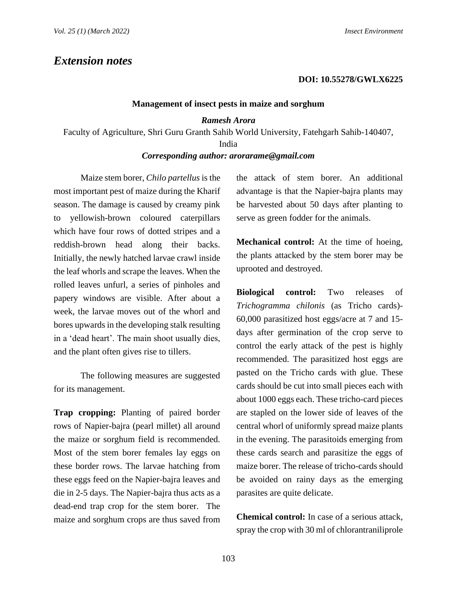# *Extension notes*

### **DOI: 10.55278/GWLX6225**

#### **Management of insect pests in maize and sorghum**

### *Ramesh Arora*

Faculty of Agriculture, Shri Guru Granth Sahib World University, Fatehgarh Sahib-140407,

# India

# *Corresponding author: arorarame@gmail.com*

Maize stem borer, *Chilo partellus* is the most important pest of maize during the Kharif season. The damage is caused by creamy pink to yellowish-brown coloured caterpillars which have four rows of dotted stripes and a reddish-brown head along their backs. Initially, the newly hatched larvae crawl inside the leaf whorls and scrape the leaves. When the rolled leaves unfurl, a series of pinholes and papery windows are visible. After about a week, the larvae moves out of the whorl and bores upwards in the developing stalk resulting in a 'dead heart'. The main shoot usually dies, and the plant often gives rise to tillers.

The following measures are suggested for its management.

**Trap cropping:** Planting of paired border rows of Napier-bajra (pearl millet) all around the maize or sorghum field is recommended. Most of the stem borer females lay eggs on these border rows. The larvae hatching from these eggs feed on the Napier-bajra leaves and die in 2-5 days. The Napier-bajra thus acts as a dead-end trap crop for the stem borer. The maize and sorghum crops are thus saved from the attack of stem borer. An additional advantage is that the Napier-bajra plants may be harvested about 50 days after planting to serve as green fodder for the animals.

**Mechanical control:** At the time of hoeing, the plants attacked by the stem borer may be uprooted and destroyed.

**Biological control:** Two releases of *Trichogramma chilonis* (as Tricho cards)- 60,000 parasitized host eggs/acre at 7 and 15 days after germination of the crop serve to control the early attack of the pest is highly recommended. The parasitized host eggs are pasted on the Tricho cards with glue. These cards should be cut into small pieces each with about 1000 eggs each. These tricho-card pieces are stapled on the lower side of leaves of the central whorl of uniformly spread maize plants in the evening. The parasitoids emerging from these cards search and parasitize the eggs of maize borer. The release of tricho-cards should be avoided on rainy days as the emerging parasites are quite delicate.

**Chemical control:** In case of a serious attack, spray the crop with 30 ml of chlorantraniliprole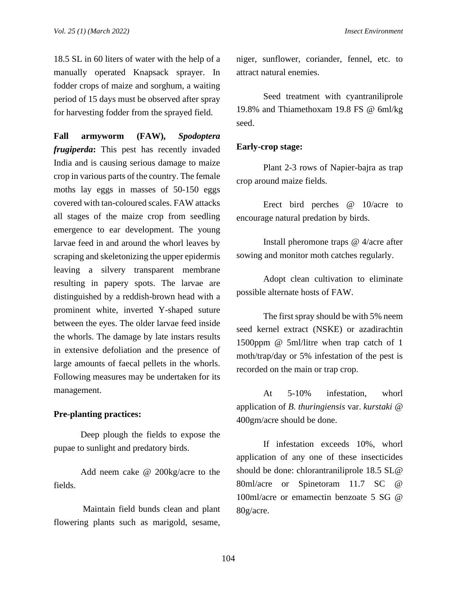18.5 SL in 60 liters of water with the help of a manually operated Knapsack sprayer. In fodder crops of maize and sorghum, a waiting period of 15 days must be observed after spray for harvesting fodder from the sprayed field.

**Fall armyworm (FAW),** *Spodoptera frugiperda***:** This pest has recently invaded India and is causing serious damage to maize crop in various parts of the country. The female moths lay eggs in masses of 50-150 eggs covered with tan-coloured scales. FAW attacks all stages of the maize crop from seedling emergence to ear development. The young larvae feed in and around the whorl leaves by scraping and skeletonizing the upper epidermis leaving a silvery transparent membrane resulting in papery spots. The larvae are distinguished by a reddish-brown head with a prominent white, inverted Y-shaped suture between the eyes. The older larvae feed inside the whorls. The damage by late instars results in extensive defoliation and the presence of large amounts of faecal pellets in the whorls. Following measures may be undertaken for its management.

# **Pre-planting practices:**

Deep plough the fields to expose the pupae to sunlight and predatory birds.

Add neem cake @ 200kg/acre to the fields.

Maintain field bunds clean and plant flowering plants such as marigold, sesame, niger, sunflower, coriander, fennel, etc. to attract natural enemies.

Seed treatment with cyantraniliprole 19.8% and Thiamethoxam 19.8 FS @ 6ml/kg seed.

### **Early-crop stage:**

Plant 2-3 rows of Napier-bajra as trap crop around maize fields.

Erect bird perches @ 10/acre to encourage natural predation by birds.

Install pheromone traps @ 4/acre after sowing and monitor moth catches regularly.

Adopt clean cultivation to eliminate possible alternate hosts of FAW.

The first spray should be with 5% neem seed kernel extract (NSKE) or azadirachtin 1500ppm @ 5ml/litre when trap catch of 1 moth/trap/day or 5% infestation of the pest is recorded on the main or trap crop.

At 5-10% infestation, whorl application of *B. thuringiensis* var. *kurstaki* @ 400gm/acre should be done.

If infestation exceeds 10%, whorl application of any one of these insecticides should be done: chlorantraniliprole 18.5 SL@ 80ml/acre or Spinetoram 11.7 SC @ 100ml/acre or emamectin benzoate 5 SG @ 80g/acre.